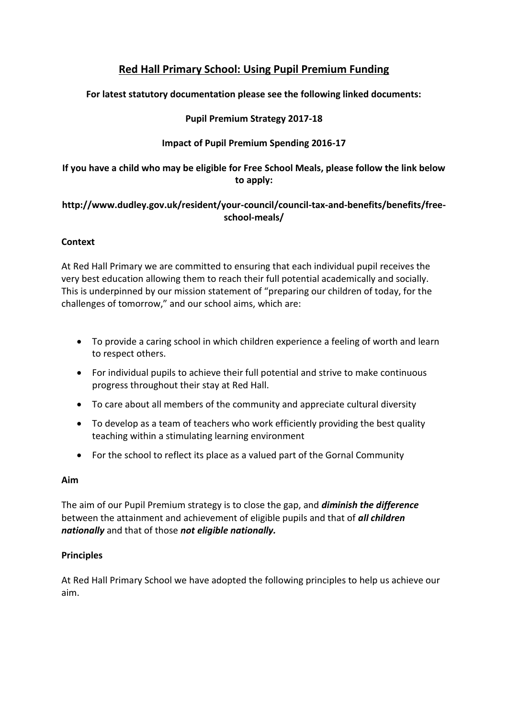# **Red Hall Primary School: Using Pupil Premium Funding**

## **For latest statutory documentation please see the following linked documents:**

## **Pupil Premium Strategy 2017-18**

## **Impact of Pupil Premium Spending 2016-17**

## **If you have a child who may be eligible for Free School Meals, please follow the link below to apply:**

### **http://www.dudley.gov.uk/resident/your-council/council-tax-and-benefits/benefits/freeschool-meals/**

## **Context**

At Red Hall Primary we are committed to ensuring that each individual pupil receives the very best education allowing them to reach their full potential academically and socially. This is underpinned by our mission statement of "preparing our children of today, for the challenges of tomorrow," and our school aims, which are:

- To provide a caring school in which children experience a feeling of worth and learn to respect others.
- For individual pupils to achieve their full potential and strive to make continuous progress throughout their stay at Red Hall.
- To care about all members of the community and appreciate cultural diversity
- To develop as a team of teachers who work efficiently providing the best quality teaching within a stimulating learning environment
- For the school to reflect its place as a valued part of the Gornal Community

#### **Aim**

The aim of our Pupil Premium strategy is to close the gap, and *diminish the difference* between the attainment and achievement of eligible pupils and that of *all children nationally* and that of those *not eligible nationally.*

#### **Principles**

At Red Hall Primary School we have adopted the following principles to help us achieve our aim.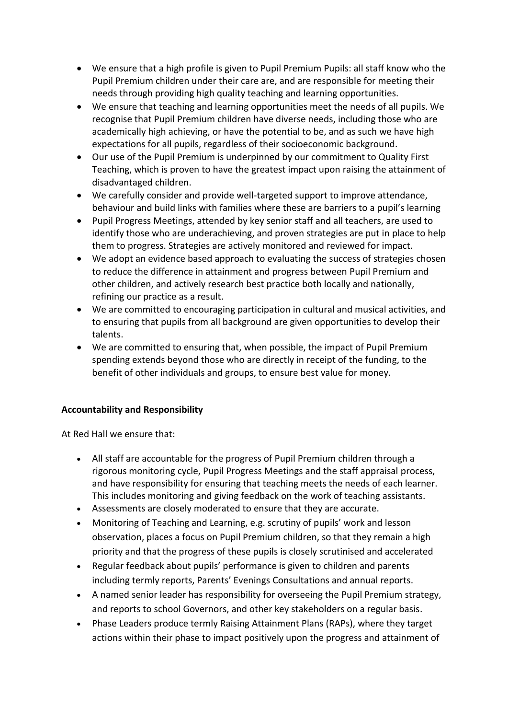- We ensure that a high profile is given to Pupil Premium Pupils: all staff know who the Pupil Premium children under their care are, and are responsible for meeting their needs through providing high quality teaching and learning opportunities.
- We ensure that teaching and learning opportunities meet the needs of all pupils. We recognise that Pupil Premium children have diverse needs, including those who are academically high achieving, or have the potential to be, and as such we have high expectations for all pupils, regardless of their socioeconomic background.
- Our use of the Pupil Premium is underpinned by our commitment to Quality First Teaching, which is proven to have the greatest impact upon raising the attainment of disadvantaged children.
- We carefully consider and provide well-targeted support to improve attendance, behaviour and build links with families where these are barriers to a pupil's learning
- Pupil Progress Meetings, attended by key senior staff and all teachers, are used to identify those who are underachieving, and proven strategies are put in place to help them to progress. Strategies are actively monitored and reviewed for impact.
- We adopt an evidence based approach to evaluating the success of strategies chosen to reduce the difference in attainment and progress between Pupil Premium and other children, and actively research best practice both locally and nationally, refining our practice as a result.
- We are committed to encouraging participation in cultural and musical activities, and to ensuring that pupils from all background are given opportunities to develop their talents.
- We are committed to ensuring that, when possible, the impact of Pupil Premium spending extends beyond those who are directly in receipt of the funding, to the benefit of other individuals and groups, to ensure best value for money.

#### **Accountability and Responsibility**

At Red Hall we ensure that:

- All staff are accountable for the progress of Pupil Premium children through a rigorous monitoring cycle, Pupil Progress Meetings and the staff appraisal process, and have responsibility for ensuring that teaching meets the needs of each learner. This includes monitoring and giving feedback on the work of teaching assistants.
- Assessments are closely moderated to ensure that they are accurate.
- Monitoring of Teaching and Learning, e.g. scrutiny of pupils' work and lesson observation, places a focus on Pupil Premium children, so that they remain a high priority and that the progress of these pupils is closely scrutinised and accelerated
- Regular feedback about pupils' performance is given to children and parents including termly reports, Parents' Evenings Consultations and annual reports.
- A named senior leader has responsibility for overseeing the Pupil Premium strategy, and reports to school Governors, and other key stakeholders on a regular basis.
- Phase Leaders produce termly Raising Attainment Plans (RAPs), where they target actions within their phase to impact positively upon the progress and attainment of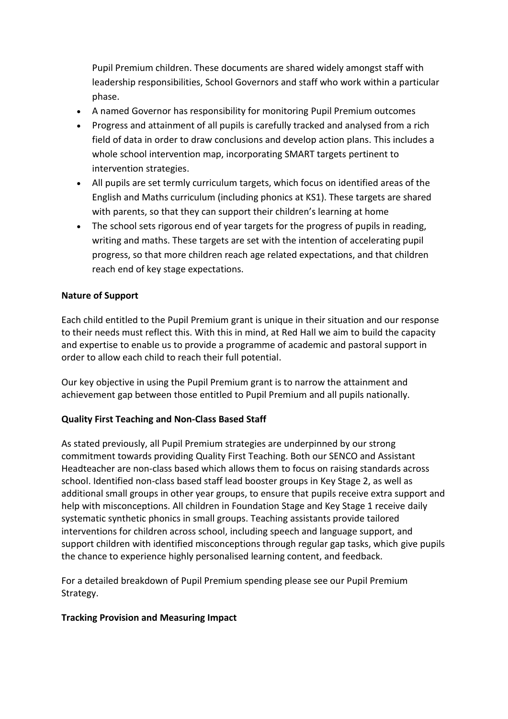Pupil Premium children. These documents are shared widely amongst staff with leadership responsibilities, School Governors and staff who work within a particular phase.

- A named Governor has responsibility for monitoring Pupil Premium outcomes
- Progress and attainment of all pupils is carefully tracked and analysed from a rich field of data in order to draw conclusions and develop action plans. This includes a whole school intervention map, incorporating SMART targets pertinent to intervention strategies.
- All pupils are set termly curriculum targets, which focus on identified areas of the English and Maths curriculum (including phonics at KS1). These targets are shared with parents, so that they can support their children's learning at home
- The school sets rigorous end of year targets for the progress of pupils in reading, writing and maths. These targets are set with the intention of accelerating pupil progress, so that more children reach age related expectations, and that children reach end of key stage expectations.

#### **Nature of Support**

Each child entitled to the Pupil Premium grant is unique in their situation and our response to their needs must reflect this. With this in mind, at Red Hall we aim to build the capacity and expertise to enable us to provide a programme of academic and pastoral support in order to allow each child to reach their full potential.

Our key objective in using the Pupil Premium grant is to narrow the attainment and achievement gap between those entitled to Pupil Premium and all pupils nationally.

#### **Quality First Teaching and Non-Class Based Staff**

As stated previously, all Pupil Premium strategies are underpinned by our strong commitment towards providing Quality First Teaching. Both our SENCO and Assistant Headteacher are non-class based which allows them to focus on raising standards across school. Identified non-class based staff lead booster groups in Key Stage 2, as well as additional small groups in other year groups, to ensure that pupils receive extra support and help with misconceptions. All children in Foundation Stage and Key Stage 1 receive daily systematic synthetic phonics in small groups. Teaching assistants provide tailored interventions for children across school, including speech and language support, and support children with identified misconceptions through regular gap tasks, which give pupils the chance to experience highly personalised learning content, and feedback.

For a detailed breakdown of Pupil Premium spending please see our Pupil Premium Strategy.

#### **Tracking Provision and Measuring Impact**